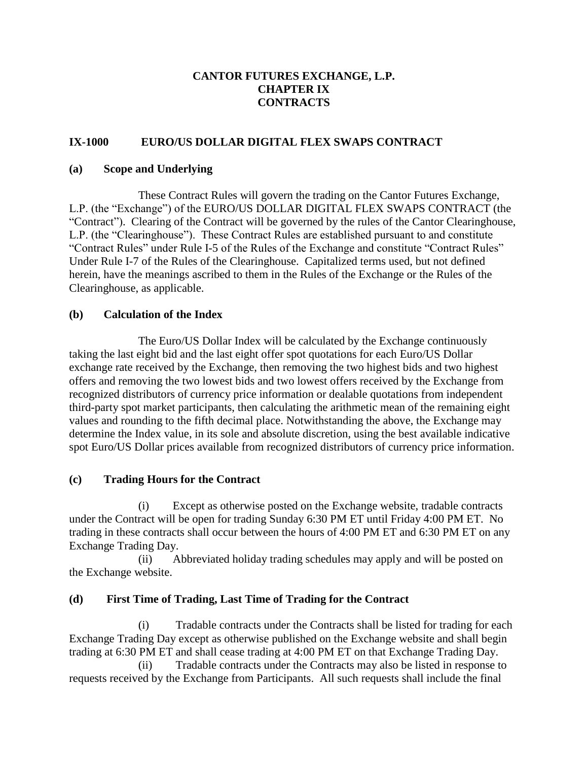### **CANTOR FUTURES EXCHANGE, L.P. CHAPTER IX CONTRACTS**

### **IX-1000 EURO/US DOLLAR DIGITAL FLEX SWAPS CONTRACT**

#### **(a) Scope and Underlying**

These Contract Rules will govern the trading on the Cantor Futures Exchange, L.P. (the "Exchange") of the EURO/US DOLLAR DIGITAL FLEX SWAPS CONTRACT (the "Contract"). Clearing of the Contract will be governed by the rules of the Cantor Clearinghouse, L.P. (the "Clearinghouse"). These Contract Rules are established pursuant to and constitute "Contract Rules" under Rule I-5 of the Rules of the Exchange and constitute "Contract Rules" Under Rule I-7 of the Rules of the Clearinghouse. Capitalized terms used, but not defined herein, have the meanings ascribed to them in the Rules of the Exchange or the Rules of the Clearinghouse, as applicable.

#### **(b) Calculation of the Index**

The Euro/US Dollar Index will be calculated by the Exchange continuously taking the last eight bid and the last eight offer spot quotations for each Euro/US Dollar exchange rate received by the Exchange, then removing the two highest bids and two highest offers and removing the two lowest bids and two lowest offers received by the Exchange from recognized distributors of currency price information or dealable quotations from independent third-party spot market participants, then calculating the arithmetic mean of the remaining eight values and rounding to the fifth decimal place. Notwithstanding the above, the Exchange may determine the Index value, in its sole and absolute discretion, using the best available indicative spot Euro/US Dollar prices available from recognized distributors of currency price information.

### **(c) Trading Hours for the Contract**

(i) Except as otherwise posted on the Exchange website, tradable contracts under the Contract will be open for trading Sunday 6:30 PM ET until Friday 4:00 PM ET. No trading in these contracts shall occur between the hours of 4:00 PM ET and 6:30 PM ET on any Exchange Trading Day.

(ii) Abbreviated holiday trading schedules may apply and will be posted on the Exchange website.

### **(d) First Time of Trading, Last Time of Trading for the Contract**

(i) Tradable contracts under the Contracts shall be listed for trading for each Exchange Trading Day except as otherwise published on the Exchange website and shall begin trading at 6:30 PM ET and shall cease trading at 4:00 PM ET on that Exchange Trading Day.

(ii) Tradable contracts under the Contracts may also be listed in response to requests received by the Exchange from Participants. All such requests shall include the final